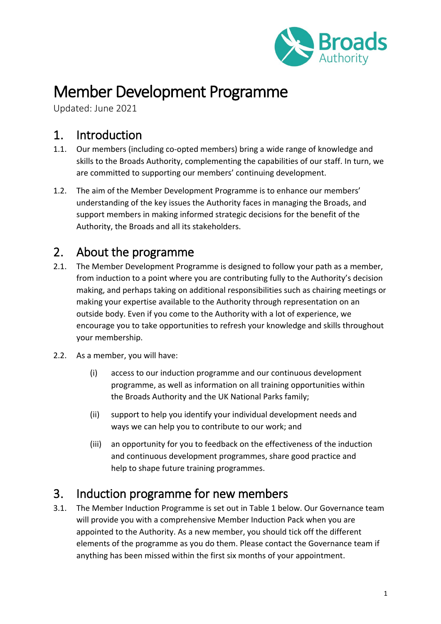

# Member Development Programme

Updated: June 2021

### 1. Introduction

- 1.1. Our members (including co-opted members) bring a wide range of knowledge and skills to the Broads Authority, complementing the capabilities of our staff. In turn, we are committed to supporting our members' continuing development.
- 1.2. The aim of the Member Development Programme is to enhance our members' understanding of the key issues the Authority faces in managing the Broads, and support members in making informed strategic decisions for the benefit of the Authority, the Broads and all its stakeholders.

#### 2. About the programme

- 2.1. The Member Development Programme is designed to follow your path as a member, from induction to a point where you are contributing fully to the Authority's decision making, and perhaps taking on additional responsibilities such as chairing meetings or making your expertise available to the Authority through representation on an outside body. Even if you come to the Authority with a lot of experience, we encourage you to take opportunities to refresh your knowledge and skills throughout your membership.
- 2.2. As a member, you will have:
	- (i) access to our induction programme and our continuous development programme, as well as information on all training opportunities within the Broads Authority and the UK National Parks family;
	- (ii) support to help you identify your individual development needs and ways we can help you to contribute to our work; and
	- (iii) an opportunity for you to feedback on the effectiveness of the induction and continuous development programmes, share good practice and help to shape future training programmes.

### 3. Induction programme for new members

3.1. The Member Induction Programme is set out in Table 1 below. Our Governance team will provide you with a comprehensive Member Induction Pack when you are appointed to the Authority. As a new member, you should tick off the different elements of the programme as you do them. Please contact the Governance team if anything has been missed within the first six months of your appointment.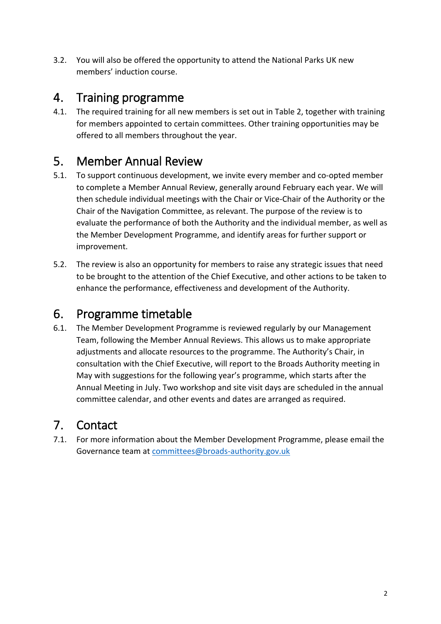3.2. You will also be offered the opportunity to attend the National Parks UK new members' induction course.

#### 4. Training programme

4.1. The required training for all new members is set out in Table 2, together with training for members appointed to certain committees. Other training opportunities may be offered to all members throughout the year.

### 5. Member Annual Review

- 5.1. To support continuous development, we invite every member and co-opted member to complete a Member Annual Review, generally around February each year. We will then schedule individual meetings with the Chair or Vice-Chair of the Authority or the Chair of the Navigation Committee, as relevant. The purpose of the review is to evaluate the performance of both the Authority and the individual member, as well as the Member Development Programme, and identify areas for further support or improvement.
- 5.2. The review is also an opportunity for members to raise any strategic issues that need to be brought to the attention of the Chief Executive, and other actions to be taken to enhance the performance, effectiveness and development of the Authority.

#### 6. Programme timetable

6.1. The Member Development Programme is reviewed regularly by our Management Team, following the Member Annual Reviews. This allows us to make appropriate adjustments and allocate resources to the programme. The Authority's Chair, in consultation with the Chief Executive, will report to the Broads Authority meeting in May with suggestions for the following year's programme, which starts after the Annual Meeting in July. Two workshop and site visit days are scheduled in the annual committee calendar, and other events and dates are arranged as required.

### 7. Contact

7.1. For more information about the Member Development Programme, please email the Governance team at [committees@broads-authority.gov.uk](mailto:committees@broads-authority.gov.uk)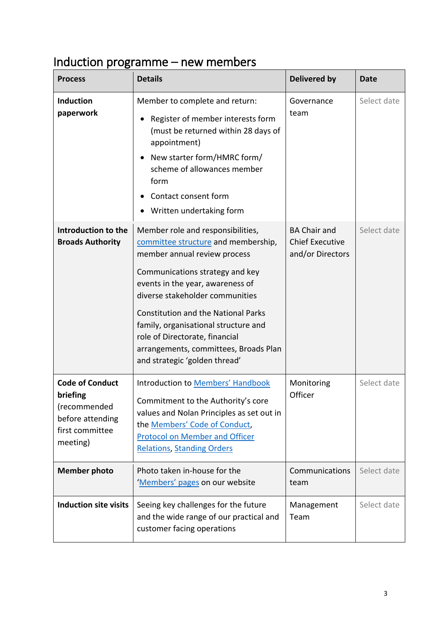# Induction programme – new members

| <b>Process</b>                                                                                        | <b>Details</b>                                                                                                                                                                                                                                                                                                                                                                                                       | <b>Delivered by</b>                                               | <b>Date</b> |
|-------------------------------------------------------------------------------------------------------|----------------------------------------------------------------------------------------------------------------------------------------------------------------------------------------------------------------------------------------------------------------------------------------------------------------------------------------------------------------------------------------------------------------------|-------------------------------------------------------------------|-------------|
| <b>Induction</b><br>paperwork                                                                         | Member to complete and return:<br>Register of member interests form<br>(must be returned within 28 days of<br>appointment)<br>New starter form/HMRC form/<br>scheme of allowances member<br>form<br>Contact consent form<br>Written undertaking form                                                                                                                                                                 | Governance<br>team                                                | Select date |
| Introduction to the<br><b>Broads Authority</b>                                                        | Member role and responsibilities,<br>committee structure and membership,<br>member annual review process<br>Communications strategy and key<br>events in the year, awareness of<br>diverse stakeholder communities<br><b>Constitution and the National Parks</b><br>family, organisational structure and<br>role of Directorate, financial<br>arrangements, committees, Broads Plan<br>and strategic 'golden thread' | <b>BA Chair and</b><br><b>Chief Executive</b><br>and/or Directors | Select date |
| <b>Code of Conduct</b><br>briefing<br>(recommended<br>before attending<br>first committee<br>meeting) | <b>Introduction to Members' Handbook</b><br>Commitment to the Authority's core<br>values and Nolan Principles as set out in<br>the Members' Code of Conduct,<br><b>Protocol on Member and Officer</b><br><b>Relations, Standing Orders</b>                                                                                                                                                                           | Monitoring<br>Officer                                             | Select date |
| <b>Member photo</b>                                                                                   | Photo taken in-house for the<br>'Members' pages on our website                                                                                                                                                                                                                                                                                                                                                       | Communications<br>team                                            | Select date |
| <b>Induction site visits</b>                                                                          | Seeing key challenges for the future<br>and the wide range of our practical and<br>customer facing operations                                                                                                                                                                                                                                                                                                        | Management<br>Team                                                | Select date |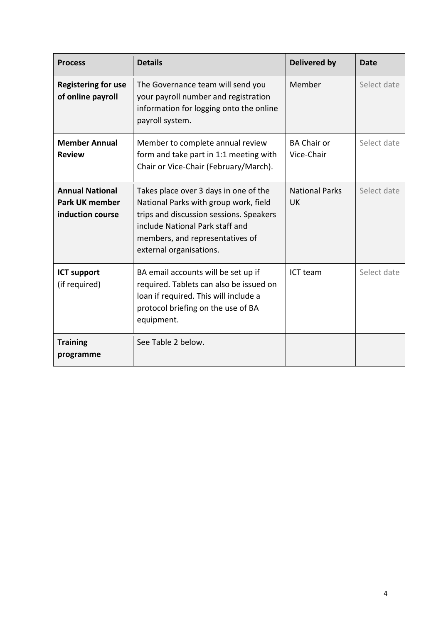| <b>Process</b>                                                      | <b>Details</b>                                                                                                                                                                                                             | <b>Delivered by</b>                | Date        |
|---------------------------------------------------------------------|----------------------------------------------------------------------------------------------------------------------------------------------------------------------------------------------------------------------------|------------------------------------|-------------|
| <b>Registering for use</b><br>of online payroll                     | The Governance team will send you<br>your payroll number and registration<br>information for logging onto the online<br>payroll system.                                                                                    | Member                             | Select date |
| <b>Member Annual</b><br><b>Review</b>                               | Member to complete annual review<br>form and take part in 1:1 meeting with<br>Chair or Vice-Chair (February/March).                                                                                                        | <b>BA Chair or</b><br>Vice-Chair   | Select date |
| <b>Annual National</b><br><b>Park UK member</b><br>induction course | Takes place over 3 days in one of the<br>National Parks with group work, field<br>trips and discussion sessions. Speakers<br>include National Park staff and<br>members, and representatives of<br>external organisations. | <b>National Parks</b><br><b>UK</b> | Select date |
| <b>ICT support</b><br>(if required)                                 | BA email accounts will be set up if<br>required. Tablets can also be issued on<br>loan if required. This will include a<br>protocol briefing on the use of BA<br>equipment.                                                | ICT team                           | Select date |
| <b>Training</b><br>programme                                        | See Table 2 below.                                                                                                                                                                                                         |                                    |             |